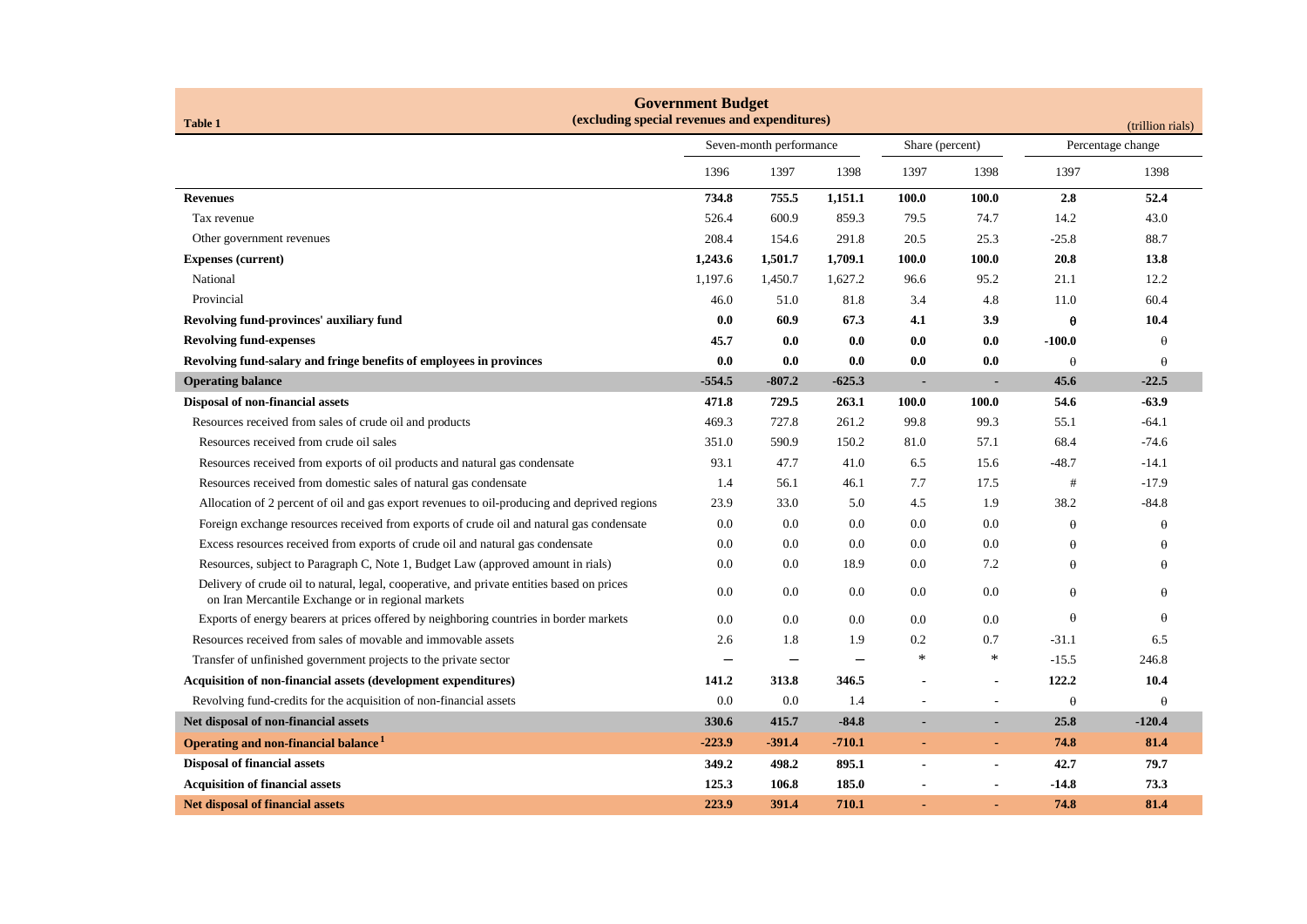| <b>Government Budget</b><br>(excluding special revenues and expenditures)<br><b>Table 1</b><br>(trillion rials)                                  |                         |          |                 |                |                   |          |          |
|--------------------------------------------------------------------------------------------------------------------------------------------------|-------------------------|----------|-----------------|----------------|-------------------|----------|----------|
|                                                                                                                                                  | Seven-month performance |          | Share (percent) |                | Percentage change |          |          |
|                                                                                                                                                  | 1396                    | 1397     | 1398            | 1397           | 1398              | 1397     | 1398     |
| <b>Revenues</b>                                                                                                                                  | 734.8                   | 755.5    | 1,151.1         | 100.0          | 100.0             | 2.8      | 52.4     |
| Tax revenue                                                                                                                                      | 526.4                   | 600.9    | 859.3           | 79.5           | 74.7              | 14.2     | 43.0     |
| Other government revenues                                                                                                                        | 208.4                   | 154.6    | 291.8           | 20.5           | 25.3              | $-25.8$  | 88.7     |
| <b>Expenses (current)</b>                                                                                                                        | 1,243.6                 | 1,501.7  | 1,709.1         | 100.0          | 100.0             | 20.8     | 13.8     |
| National                                                                                                                                         | 1,197.6                 | 1,450.7  | 1,627.2         | 96.6           | 95.2              | 21.1     | 12.2     |
| Provincial                                                                                                                                       | 46.0                    | 51.0     | 81.8            | 3.4            | 4.8               | 11.0     | 60.4     |
| Revolving fund-provinces' auxiliary fund                                                                                                         | 0.0                     | 60.9     | 67.3            | 4.1            | 3.9               | $\theta$ | 10.4     |
| <b>Revolving fund-expenses</b>                                                                                                                   | 45.7                    | 0.0      | 0.0             | 0.0            | 0.0               | $-100.0$ | θ        |
| Revolving fund-salary and fringe benefits of employees in provinces                                                                              | 0.0                     | 0.0      | 0.0             | 0.0            | 0.0               | $\theta$ | θ        |
| <b>Operating balance</b>                                                                                                                         | $-554.5$                | $-807.2$ | $-625.3$        | $\blacksquare$ |                   | 45.6     | $-22.5$  |
| Disposal of non-financial assets                                                                                                                 | 471.8                   | 729.5    | 263.1           | 100.0          | 100.0             | 54.6     | $-63.9$  |
| Resources received from sales of crude oil and products                                                                                          | 469.3                   | 727.8    | 261.2           | 99.8           | 99.3              | 55.1     | $-64.1$  |
| Resources received from crude oil sales                                                                                                          | 351.0                   | 590.9    | 150.2           | 81.0           | 57.1              | 68.4     | $-74.6$  |
| Resources received from exports of oil products and natural gas condensate                                                                       | 93.1                    | 47.7     | 41.0            | 6.5            | 15.6              | $-48.7$  | $-14.1$  |
| Resources received from domestic sales of natural gas condensate                                                                                 | 1.4                     | 56.1     | 46.1            | 7.7            | 17.5              | #        | $-17.9$  |
| Allocation of 2 percent of oil and gas export revenues to oil-producing and deprived regions                                                     | 23.9                    | 33.0     | 5.0             | 4.5            | 1.9               | 38.2     | $-84.8$  |
| Foreign exchange resources received from exports of crude oil and natural gas condensate                                                         | 0.0                     | 0.0      | 0.0             | 0.0            | 0.0               | $\theta$ | θ        |
| Excess resources received from exports of crude oil and natural gas condensate                                                                   | 0.0                     | 0.0      | 0.0             | 0.0            | 0.0               | $\theta$ | θ        |
| Resources, subject to Paragraph C, Note 1, Budget Law (approved amount in rials)                                                                 | 0.0                     | 0.0      | 18.9            | 0.0            | 7.2               | $\theta$ | θ        |
| Delivery of crude oil to natural, legal, cooperative, and private entities based on prices<br>on Iran Mercantile Exchange or in regional markets | 0.0                     | 0.0      | 0.0             | 0.0            | 0.0               | $\theta$ | θ        |
| Exports of energy bearers at prices offered by neighboring countries in border markets                                                           | 0.0                     | 0.0      | 0.0             | 0.0            | 0.0               | $\theta$ | θ        |
| Resources received from sales of movable and immovable assets                                                                                    | 2.6                     | 1.8      | 1.9             | 0.2            | 0.7               | $-31.1$  | 6.5      |
| Transfer of unfinished government projects to the private sector                                                                                 |                         |          |                 | ∗              | $\ast$            | $-15.5$  | 246.8    |
| Acquisition of non-financial assets (development expenditures)                                                                                   | 141.2                   | 313.8    | 346.5           |                |                   | 122.2    | 10.4     |
| Revolving fund-credits for the acquisition of non-financial assets                                                                               | 0.0                     | 0.0      | 1.4             | ÷,             |                   | $\theta$ | θ        |
| Net disposal of non-financial assets                                                                                                             | 330.6                   | 415.7    | $-84.8$         |                | $\blacksquare$    | 25.8     | $-120.4$ |
| Operating and non-financial balance <sup>1</sup>                                                                                                 | $-223.9$                | $-391.4$ | $-710.1$        | ä,             | $\blacksquare$    | 74.8     | 81.4     |
| <b>Disposal of financial assets</b>                                                                                                              | 349.2                   | 498.2    | 895.1           | $\overline{a}$ | $\blacksquare$    | 42.7     | 79.7     |
| <b>Acquisition of financial assets</b>                                                                                                           | 125.3                   | 106.8    | 185.0           |                |                   | -14.8    | 73.3     |
| <b>Net disposal of financial assets</b>                                                                                                          | 223.9                   | 391.4    | 710.1           |                |                   | 74.8     | 81.4     |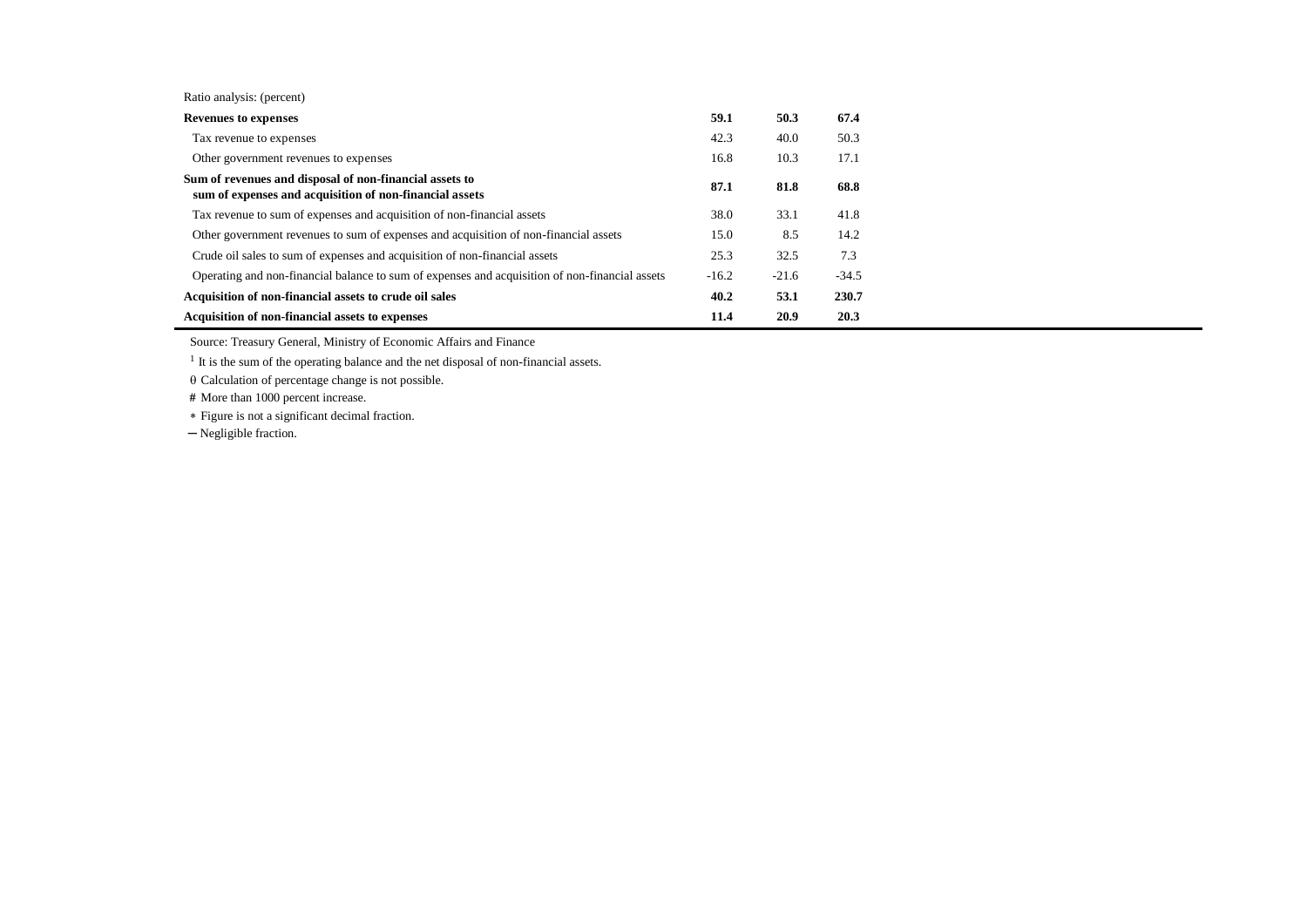| Ratio analysis: (percent) |  |
|---------------------------|--|
|---------------------------|--|

| <b>Revenues to expenses</b>                                                                                        | 59.1    | 50.3    | 67.4    |
|--------------------------------------------------------------------------------------------------------------------|---------|---------|---------|
| Tax revenue to expenses                                                                                            | 42.3    | 40.0    | 50.3    |
| Other government revenues to expenses                                                                              | 16.8    | 10.3    | 17.1    |
| Sum of revenues and disposal of non-financial assets to<br>sum of expenses and acquisition of non-financial assets | 87.1    | 81.8    | 68.8    |
| Tax revenue to sum of expenses and acquisition of non-financial assets                                             | 38.0    | 33.1    | 41.8    |
| Other government revenues to sum of expenses and acquisition of non-financial assets                               | 15.0    | 8.5     | 14.2    |
| Crude oil sales to sum of expenses and acquisition of non-financial assets                                         | 25.3    | 32.5    | 7.3     |
| Operating and non-financial balance to sum of expenses and acquisition of non-financial assets                     | $-16.2$ | $-21.6$ | $-34.5$ |
| Acquisition of non-financial assets to crude oil sales                                                             | 40.2    | 53.1    | 230.7   |
| Acquisition of non-financial assets to expenses                                                                    | 11.4    | 20.9    | 20.3    |

Source: Treasury General, Ministry of Economic Affairs and Finance

<sup>1</sup> It is the sum of the operating balance and the net disposal of non-financial assets.

 $\theta$  Calculation of percentage change is not possible.

 **#** More than 1000 percent increase.

Figure is not a significant decimal fraction.

─ Negligible fraction.